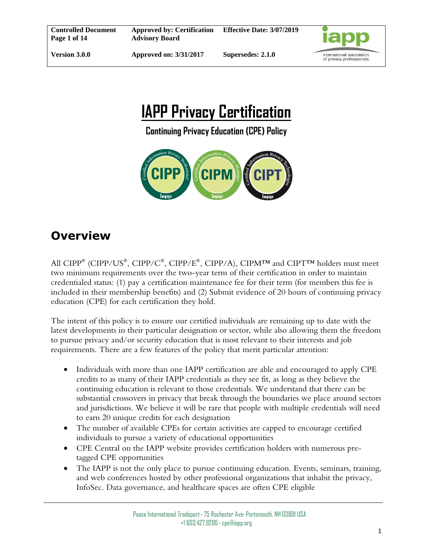

# **IAPP Privacy Certification**

**Continuing Privacy Education (CPE) Policy**



# **Overview**

All CIPP® (CIPP/US®, CIPP/C®, CIPP/E®, CIPP/A), CIPM™ and CIPT™ holders must meet two minimum requirements over the two-year term of their certification in order to maintain credentialed status: (1) pay a certification maintenance fee for their term (for members this fee is included in their membership benefits) and (2) Submit evidence of 20 hours of continuing privacy education (CPE) for each certification they hold.

The intent of this policy is to ensure our certified individuals are remaining up to date with the latest developments in their particular designation or sector, while also allowing them the freedom to pursue privacy and/or security education that is most relevant to their interests and job requirements. There are a few features of the policy that merit particular attention:

- Individuals with more than one IAPP certification are able and encouraged to apply CPE credits to as many of their IAPP credentials as they see fit, as long as they believe the continuing education is relevant to those credentials. We understand that there can be substantial crossovers in privacy that break through the boundaries we place around sectors and jurisdictions. We believe it will be rare that people with multiple credentials will need to earn 20 unique credits for each designation
- The number of available CPEs for certain activities are capped to encourage certified individuals to pursue a variety of educational opportunities
- CPE Central on the IAPP website provides certification holders with numerous pretagged CPE opportunities
- The IAPP is not the only place to pursue continuing education. Events, seminars, training, and web conferences hosted by other professional organizations that inhabit the privacy, InfoSec. Data governance, and healthcare spaces are often CPE eligible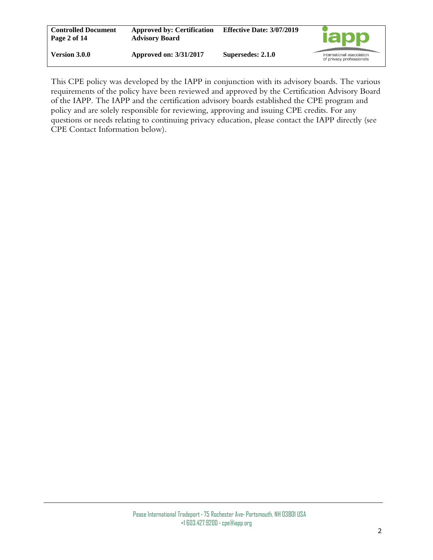| <b>Controlled Document</b><br>Page 2 of 14 | <b>Approved by: Certification</b><br><b>Advisory Board</b> | <b>Effective Date: 3/07/2019</b> | <b>lapp</b>                                           |
|--------------------------------------------|------------------------------------------------------------|----------------------------------|-------------------------------------------------------|
| Version 3.0.0                              | <b>Approved on: 3/31/2017</b>                              | Supersedes: 2.1.0                | international association<br>of privacy professionals |

This CPE policy was developed by the IAPP in conjunction with its advisory boards. The various requirements of the policy have been reviewed and approved by the Certification Advisory Board of the IAPP. The IAPP and the certification advisory boards established the CPE program and policy and are solely responsible for reviewing, approving and issuing CPE credits. For any questions or needs relating to continuing privacy education, please contact the IAPP directly (see CPE Contact Information below).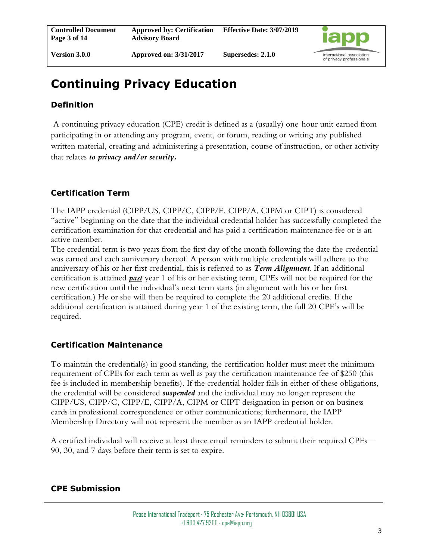

**Version 3.0.0**

# **Continuing Privacy Education**

# **Definition**

A continuing privacy education (CPE) credit is defined as a (usually) one-hour unit earned from participating in or attending any program, event, or forum, reading or writing any published written material, creating and administering a presentation, course of instruction, or other activity that relates *to privacy and/or security.*

# **Certification Term**

The IAPP credential (CIPP/US, CIPP/C, CIPP/E, CIPP/A, CIPM or CIPT) is considered "active" beginning on the date that the individual credential holder has successfully completed the certification examination for that credential and has paid a certification maintenance fee or is an active member.

The credential term is two years from the first day of the month following the date the credential was earned and each anniversary thereof. A person with multiple credentials will adhere to the anniversary of his or her first credential, this is referred to as *Term Alignment*. If an additional certification is attained *past* year 1 of his or her existing term, CPEs will not be required for the new certification until the individual's next term starts (in alignment with his or her first certification.) He or she will then be required to complete the 20 additional credits. If the additional certification is attained during year 1 of the existing term, the full 20 CPE's will be required.

#### **Certification Maintenance**

To maintain the credential(s) in good standing, the certification holder must meet the minimum requirement of CPEs for each term as well as pay the certification maintenance fee of \$250 (this fee is included in membership benefits). If the credential holder fails in either of these obligations, the credential will be considered *suspended* and the individual may no longer represent the CIPP/US, CIPP/C, CIPP/E, CIPP/A, CIPM or CIPT designation in person or on business cards in professional correspondence or other communications; furthermore, the IAPP Membership Directory will not represent the member as an IAPP credential holder.

A certified individual will receive at least three email reminders to submit their required CPEs— 90, 30, and 7 days before their term is set to expire.

#### **CPE Submission**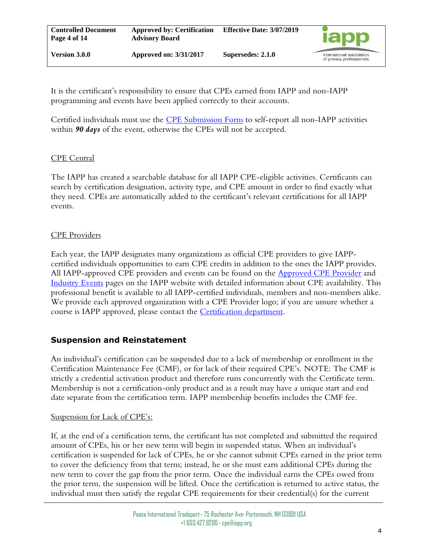It is the certificant's responsibility to ensure that CPEs earned from IAPP and non-IAPP programming and events have been applied correctly to their accounts.

Certified individuals must use the [CPE Submission Form](https://my.iapp.org/prog__submitceu) to self-report all non-IAPP activities within *90 days* of the event, otherwise the CPEs will not be accepted.

#### CPE Central

The IAPP has created a searchable database for all IAPP CPE-eligible activities. Certificants can search by certification designation, activity type, and CPE amount in order to find exactly what they need. CPEs are automatically added to the certificant's relevant certifications for all IAPP events.

#### CPE Providers

Each year, the IAPP designates many organizations as official CPE providers to give IAPPcertified individuals opportunities to earn CPE credits in addition to the ones the IAPP provides. All IAPP-approved CPE providers and events can be found on the **Approved CPE Provider** and [Industry Events](https://iapp.org/about/industry-events) pages on the IAPP website with detailed information about CPE availability. This professional benefit is available to all IAPP-certified individuals, members and non-members alike. We provide each approved organization with a CPE Provider logo; if you are unsure whether a course is IAPP approved, please contact the [Certification department.](mailto:cpe@iapp.org)

#### **Suspension and Reinstatement**

An individual's certification can be suspended due to a lack of membership or enrollment in the Certification Maintenance Fee (CMF), or for lack of their required CPE's. NOTE: The CMF is strictly a credential activation product and therefore runs concurrently with the Certificate term. Membership is not a certification-only product and as a result may have a unique start and end date separate from the certification term. IAPP membership benefits includes the CMF fee.

#### Suspension for Lack of CPE's:

If, at the end of a certification term, the certificant has not completed and submitted the required amount of CPEs, his or her new term will begin in suspended status. When an individual's certification is suspended for lack of CPEs, he or she cannot submit CPEs earned in the prior term to cover the deficiency from that term; instead, he or she must earn additional CPEs during the new term to cover the gap from the prior term. Once the individual earns the CPEs owed from the prior term, the suspension will be lifted. Once the certification is returned to active status, the individual must then satisfy the regular CPE requirements for their credential(s) for the current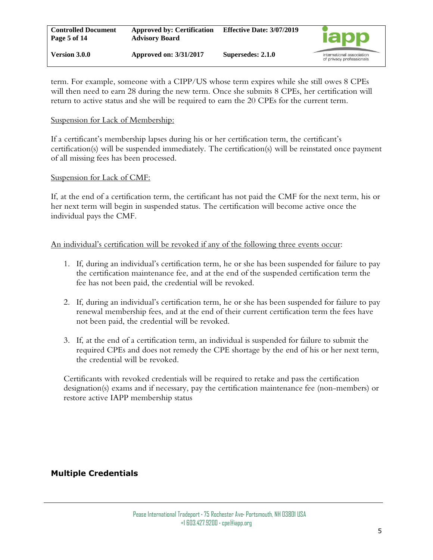term. For example, someone with a CIPP/US whose term expires while she still owes 8 CPEs will then need to earn 28 during the new term. Once she submits 8 CPEs, her certification will return to active status and she will be required to earn the 20 CPEs for the current term.

#### Suspension for Lack of Membership:

If a certificant's membership lapses during his or her certification term, the certificant's certification(s) will be suspended immediately. The certification(s) will be reinstated once payment of all missing fees has been processed.

#### Suspension for Lack of CMF:

If, at the end of a certification term, the certificant has not paid the CMF for the next term, his or her next term will begin in suspended status. The certification will become active once the individual pays the CMF.

#### An individual's certification will be revoked if any of the following three events occur:

- 1. If, during an individual's certification term, he or she has been suspended for failure to pay the certification maintenance fee, and at the end of the suspended certification term the fee has not been paid, the credential will be revoked.
- 2. If, during an individual's certification term, he or she has been suspended for failure to pay renewal membership fees, and at the end of their current certification term the fees have not been paid, the credential will be revoked.
- 3. If, at the end of a certification term, an individual is suspended for failure to submit the required CPEs and does not remedy the CPE shortage by the end of his or her next term, the credential will be revoked.

Certificants with revoked credentials will be required to retake and pass the certification designation(s) exams and if necessary, pay the certification maintenance fee (non-members) or restore active IAPP membership status

#### **Multiple Credentials**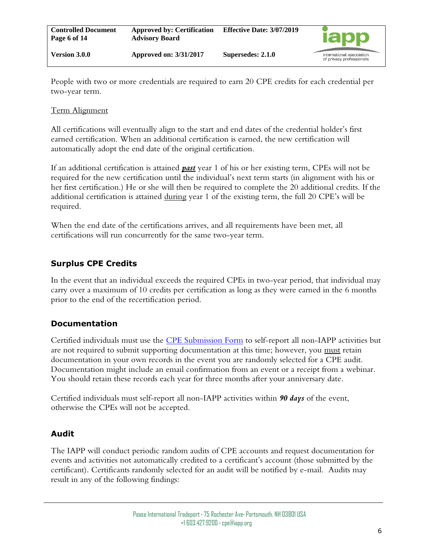People with two or more credentials are required to earn 20 CPE credits for each credential per two-year term.

#### Term Alignment

All certifications will eventually align to the start and end dates of the credential holder's first earned certification. When an additional certification is earned, the new certification will automatically adopt the end date of the original certification.

If an additional certification is attained *past* year 1 of his or her existing term, CPEs will not be required for the new certification until the individual's next term starts (in alignment with his or her first certification.) He or she will then be required to complete the 20 additional credits. If the additional certification is attained during year 1 of the existing term, the full 20 CPE's will be required.

When the end date of the certifications arrives, and all requirements have been met, all certifications will run concurrently for the same two-year term.

### **Surplus CPE Credits**

In the event that an individual exceeds the required CPEs in two-year period, that individual may carry over a maximum of 10 credits per certification as long as they were earned in the 6 months prior to the end of the recertification period.

#### **Documentation**

Certified individuals must use the [CPE Submission Form](https://my.iapp.org/prog__submitceu) to self-report all non-IAPP activities but are not required to submit supporting documentation at this time; however, you must retain documentation in your own records in the event you are randomly selected for a CPE audit. Documentation might include an email confirmation from an event or a receipt from a webinar. You should retain these records each year for three months after your anniversary date.

Certified individuals must self-report all non-IAPP activities within *90 days* of the event, otherwise the CPEs will not be accepted.

# **Audit**

The IAPP will conduct periodic random audits of CPE accounts and request documentation for events and activities not automatically credited to a certificant's account (those submitted by the certificant). Certificants randomly selected for an audit will be notified by e-mail. Audits may result in any of the following findings: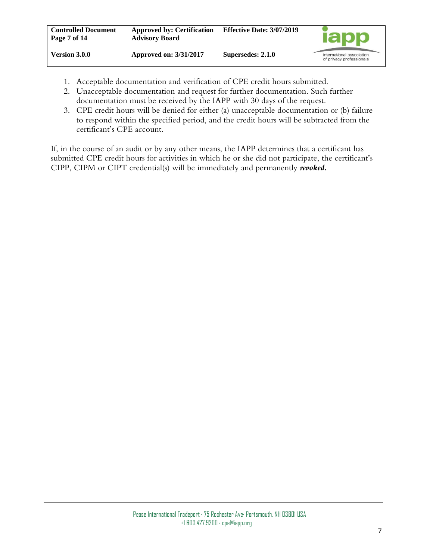- 1. Acceptable documentation and verification of CPE credit hours submitted.
- 2. Unacceptable documentation and request for further documentation. Such further documentation must be received by the IAPP with 30 days of the request.
- 3. CPE credit hours will be denied for either (a) unacceptable documentation or (b) failure to respond within the specified period, and the credit hours will be subtracted from the certificant's CPE account.

If, in the course of an audit or by any other means, the IAPP determines that a certificant has submitted CPE credit hours for activities in which he or she did not participate, the certificant's CIPP, CIPM or CIPT credential(s) will be immediately and permanently *revoked.*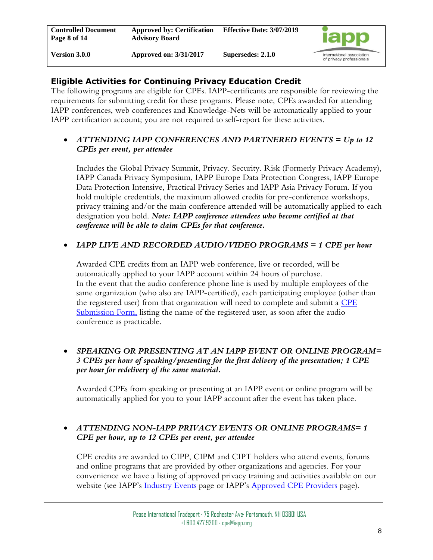# **Eligible Activities for Continuing Privacy Education Credit**

The following programs are eligible for CPEs. IAPP-certificants are responsible for reviewing the requirements for submitting credit for these programs. Please note, CPEs awarded for attending IAPP conferences, web conferences and Knowledge-Nets will be automatically applied to your IAPP certification account; you are not required to self-report for these activities.

#### • *ATTENDING IAPP CONFERENCES AND PARTNERED EVENTS = Up to 12 CPEs per event, per attendee*

Includes the Global Privacy Summit, Privacy. Security. Risk (Formerly Privacy Academy), IAPP Canada Privacy Symposium, IAPP Europe Data Protection Congress, IAPP Europe Data Protection Intensive, Practical Privacy Series and IAPP Asia Privacy Forum. If you hold multiple credentials, the maximum allowed credits for pre-conference workshops, privacy training and/or the main conference attended will be automatically applied to each designation you hold. *Note: IAPP conference attendees who become certified at that conference will be able to claim CPEs for that conference.*

#### • *IAPP LIVE AND RECORDED AUDIO/VIDEO PROGRAMS = 1 CPE per hour*

Awarded CPE credits from an IAPP web conference, live or recorded, will be automatically applied to your IAPP account within 24 hours of purchase. In the event that the audio conference phone line is used by multiple employees of the same organization (who also are IAPP-certified), each participating employee (other than the registered user) from that organization will need to complete and submit a CPE [Submission Form,](https://my.iapp.org/prog__submitceu) listing the name of the registered user, as soon after the audio conference as practicable.

#### • *SPEAKING OR PRESENTING AT AN IAPP EVENT OR ONLINE PROGRAM= 3 CPEs per hour of speaking/presenting for the first delivery of the presentation; 1 CPE per hour for redelivery of the same material.*

Awarded CPEs from speaking or presenting at an IAPP event or online program will be automatically applied for you to your IAPP account after the event has taken place.

#### • *ATTENDING NON-IAPP PRIVACY EVENTS OR ONLINE PROGRAMS= 1 CPE per hour, up to 12 CPEs per event, per attendee*

CPE credits are awarded to CIPP, CIPM and CIPT holders who attend events, forums and online programs that are provided by other organizations and agencies. For your convenience we have a listing of approved privacy training and activities available on our website (see <u>IAPP's [Industry Events](https://iapp.org/about/industry-events)</u> page or IAPP's [Approved CPE Providers](https://iapp.org/certify/cpe-providers) page).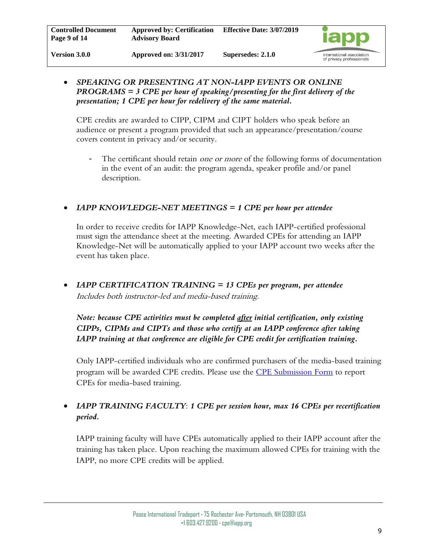

#### • *SPEAKING OR PRESENTING AT NON-IAPP EVENTS OR ONLINE PROGRAMS = 3 CPE per hour of speaking/presenting for the first delivery of the presentation; 1 CPE per hour for redelivery of the same material.*

CPE credits are awarded to CIPP, CIPM and CIPT holders who speak before an audience or present a program provided that such an appearance/presentation/course covers content in privacy and/or security.

The certificant should retain *one or more* of the following forms of documentation in the event of an audit: the program agenda, speaker profile and/or panel description.

#### • *IAPP KNOWLEDGE-NET MEETINGS = 1 CPE per hour per attendee*

In order to receive credits for IAPP Knowledge-Net, each IAPP-certified professional must sign the attendance sheet at the meeting. Awarded CPEs for attending an IAPP Knowledge-Net will be automatically applied to your IAPP account two weeks after the event has taken place.

• *IAPP CERTIFICATION TRAINING = 13 CPEs per program, per attendee* Includes both instructor-led and media-based training.

*Note: because CPE activities must be completed after initial certification, only existing CIPPs, CIPMs and CIPTs and those who certify at an IAPP conference after taking IAPP training at that conference are eligible for CPE credit for certification training.*

Only IAPP-certified individuals who are confirmed purchasers of the media-based training program will be awarded CPE credits. Please use the [CPE Submission Form](https://my.iapp.org/prog__submitceu) to report CPEs for media-based training.

### • *IAPP TRAINING FACULTY*: *1 CPE per session hour, max 16 CPEs per recertification period.*

IAPP training faculty will have CPEs automatically applied to their IAPP account after the training has taken place. Upon reaching the maximum allowed CPEs for training with the IAPP, no more CPE credits will be applied.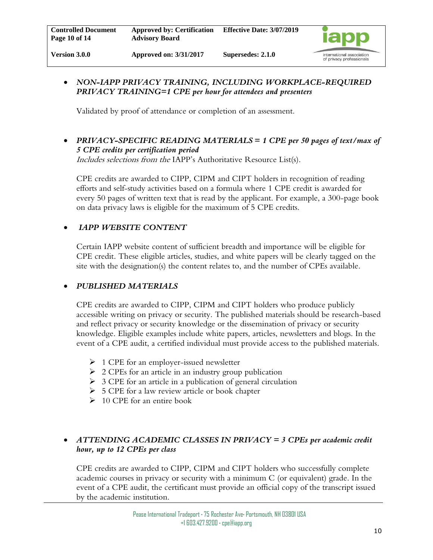

#### • *NON-IAPP PRIVACY TRAINING, INCLUDING WORKPLACE-REQUIRED PRIVACY TRAINING=1 CPE per hour for attendees and presenters*

Validated by proof of attendance or completion of an assessment.

• *PRIVACY-SPECIFIC READING MATERIALS = 1 CPE per 50 pages of text/max of 5 CPE credits per certification period*

Includes selections from the IAPP's Authoritative Resource List(s).

CPE credits are awarded to CIPP, CIPM and CIPT holders in recognition of reading efforts and self-study activities based on a formula where 1 CPE credit is awarded for every 50 pages of written text that is read by the applicant. For example, a 300-page book on data privacy laws is eligible for the maximum of 5 CPE credits.

#### • *IAPP WEBSITE CONTENT*

Certain IAPP website content of sufficient breadth and importance will be eligible for CPE credit. These eligible articles, studies, and white papers will be clearly tagged on the site with the designation(s) the content relates to, and the number of CPEs available.

#### • *PUBLISHED MATERIALS*

CPE credits are awarded to CIPP, CIPM and CIPT holders who produce publicly accessible writing on privacy or security. The published materials should be research-based and reflect privacy or security knowledge or the dissemination of privacy or security knowledge. Eligible examples include white papers, articles, newsletters and blogs. In the event of a CPE audit, a certified individual must provide access to the published materials.

- ➢ 1 CPE for an employer-issued newsletter
- $\geq 2$  CPEs for an article in an industry group publication
- $\triangleright$  3 CPE for an article in a publication of general circulation
- $\triangleright$  5 CPE for a law review article or book chapter
- ➢ 10 CPE for an entire book

#### • *ATTENDING ACADEMIC CLASSES IN PRIVACY = 3 CPEs per academic credit hour, up to 12 CPEs per class*

CPE credits are awarded to CIPP, CIPM and CIPT holders who successfully complete academic courses in privacy or security with a minimum C (or equivalent) grade. In the event of a CPE audit, the certificant must provide an official copy of the transcript issued by the academic institution.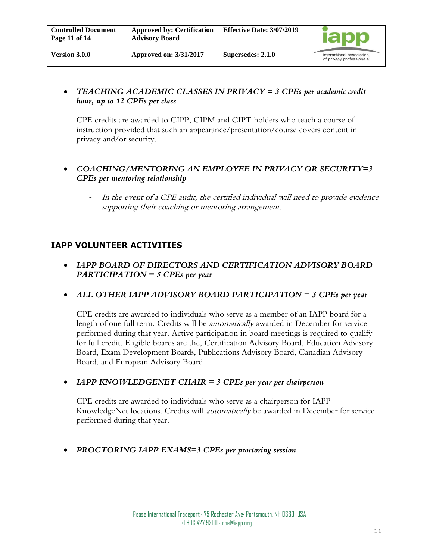

#### • *TEACHING ACADEMIC CLASSES IN PRIVACY = 3 CPEs per academic credit hour, up to 12 CPEs per class*

CPE credits are awarded to CIPP, CIPM and CIPT holders who teach a course of instruction provided that such an appearance/presentation/course covers content in privacy and/or security.

#### • *COACHING/MENTORING AN EMPLOYEE IN PRIVACY OR SECURITY=3 CPEs per mentoring relationship*

- In the event of a CPE audit, the certified individual will need to provide evidence supporting their coaching or mentoring arrangement.

#### **IAPP VOLUNTEER ACTIVITIES**

- *IAPP BOARD OF DIRECTORS AND CERTIFICATION ADVISORY BOARD PARTICIPATION* = *5 CPEs per year*
- *ALL OTHER IAPP ADVISORY BOARD PARTICIPATION* = *3 CPEs per year*

CPE credits are awarded to individuals who serve as a member of an IAPP board for a length of one full term. Credits will be *automatically* awarded in December for service performed during that year. Active participation in board meetings is required to qualify for full credit. Eligible boards are the, Certification Advisory Board, Education Advisory Board, Exam Development Boards, Publications Advisory Board, Canadian Advisory Board, and European Advisory Board

• *IAPP KNOWLEDGENET CHAIR = 3 CPEs per year per chairperson*

CPE credits are awarded to individuals who serve as a chairperson for IAPP KnowledgeNet locations. Credits will *automatically* be awarded in December for service performed during that year.

• *PROCTORING IAPP EXAMS=3 CPEs per proctoring session*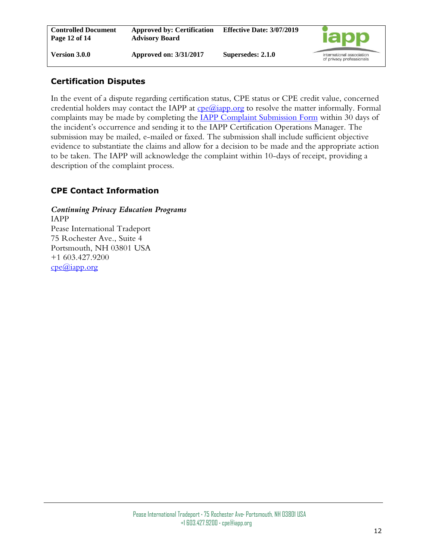# **Certification Disputes**

In the event of a dispute regarding certification status, CPE status or CPE credit value, concerned credential holders may contact the IAPP at  $\text{cpe}(\omega)$ iapp.org to resolve the matter informally. Formal complaints may be made by completing the [IAPP Complaint Submission Form](https://iapp.org/certify/forms/) within 30 days of the incident's occurrence and sending it to the IAPP Certification Operations Manager. The submission may be mailed, e-mailed or faxed. The submission shall include sufficient objective evidence to substantiate the claims and allow for a decision to be made and the appropriate action to be taken. The IAPP will acknowledge the complaint within 10-days of receipt, providing a description of the complaint process.

# **CPE Contact Information**

*Continuing Privacy Education Programs* IAPP Pease International Tradeport 75 Rochester Ave., Suite 4 Portsmouth, NH 03801 USA +1 603.427.9200 [cpe@iapp.org](mailto:cpe@iapp.org)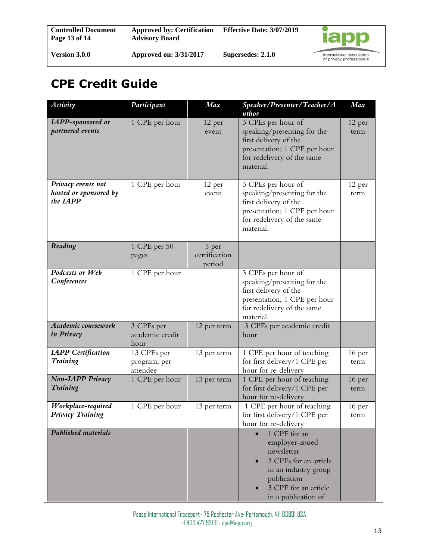# **CPE Credit Guide**

| Activity                                                 | Participant                             | Max                              | Speaker/Presenter/Teacher/A<br>uthor                                                                                                                         | Max            |
|----------------------------------------------------------|-----------------------------------------|----------------------------------|--------------------------------------------------------------------------------------------------------------------------------------------------------------|----------------|
| <b>IAPP-sponsored or</b><br>partnered events             | 1 CPE per hour                          | 12 per<br>event                  | 3 CPEs per hour of<br>speaking/presenting for the<br>first delivery of the<br>presentation; 1 CPE per hour<br>for redelivery of the same<br>material.        | 12 per<br>term |
| Privacy events not<br>hosted or sponsored by<br>the IAPP | 1 CPE per hour                          | 12 per<br>event                  | 3 CPEs per hour of<br>speaking/presenting for the<br>first delivery of the<br>presentation; 1 CPE per hour<br>for redelivery of the same<br>material.        | 12 per<br>term |
| Reading                                                  | 1 CPE per 50<br>pages                   | 5 per<br>certification<br>period |                                                                                                                                                              |                |
| Podcasts or Web<br>Conferences                           | 1 CPE per hour                          |                                  | 3 CPEs per hour of<br>speaking/presenting for the<br>first delivery of the<br>presentation; 1 CPE per hour<br>for redelivery of the same<br>material.        |                |
| Academic coursework<br>in Privacy                        | 3 CPEs per<br>academic credit<br>hour   | 12 per term                      | 3 CPEs per academic credit<br>hour                                                                                                                           |                |
| <b>IAPP</b> Certification<br><b>Training</b>             | 13 CPEs per<br>program, per<br>attendee | 13 per term                      | 1 CPE per hour of teaching<br>for first delivery/1 CPE per<br>hour for re-delivery                                                                           | 16 per<br>term |
| Non-LAPP Privacy<br><b>Training</b>                      | 1 CPE per hour                          | 13 per term                      | 1 CPE per hour of teaching<br>for first delivery/1 CPE per<br>hour for re-delivery                                                                           | 16 per<br>term |
| Workplace-required<br>Privacy Training                   | 1 CPE per hour                          | 13 per term                      | 1 CPE per hour of teaching<br>for first delivery/1 CPE per<br>hour for re-delivery                                                                           | 16 per<br>term |
| <b>Published materials</b>                               |                                         |                                  | 1 CPE for an<br>employer-issued<br>newsletter<br>2 CPEs for an article<br>in an industry group<br>publication<br>3 CPE for an article<br>in a publication of |                |